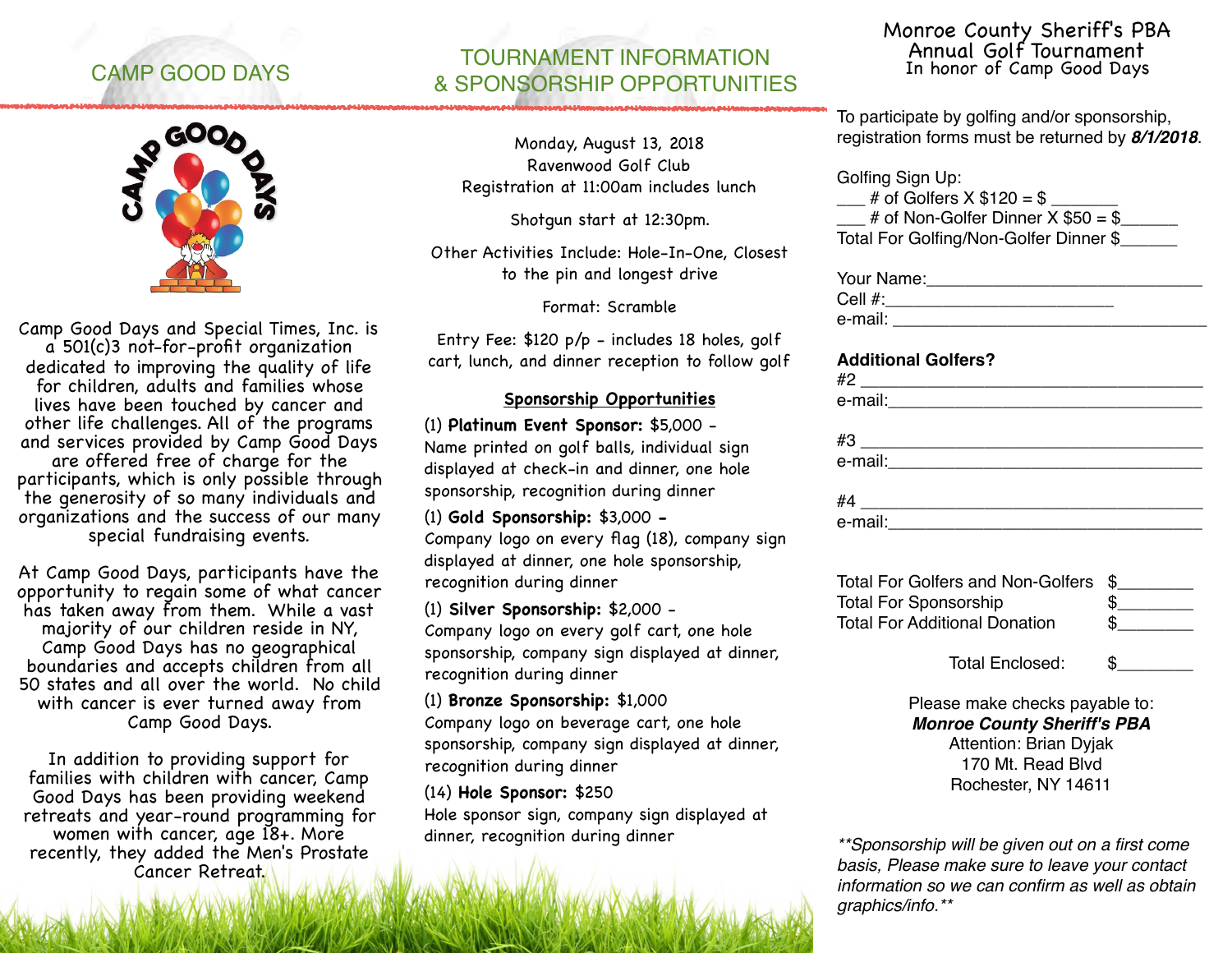

Camp Good Days and Special Times, Inc. is a 501(c)3 not-for-profit organization dedicated to improving the quality of life for children, adults and families whose lives have been touched by cancer and other life challenges. All of the programs and services provided by Camp Good Days are offered free of charge for the participants, which is only possible through the generosity of so many individuals and organizations and the success of our many special fundraising events.

At Camp Good Days, participants have the opportunity to regain some of what cancer has taken away from them. While a vast majority of our children reside in NY, Camp Good Days has no geographical boundaries and accepts children from all 50 states and all over the world. No child with cancer is ever turned away from Camp Good Days.

In addition to providing support for families with children with cancer, Camp Good Days has been providing weekend retreats and year-round programming for women with cancer, age 18+. More recently, they added the Men's Prostate Cancer Retreat.

### CAMP GOOD DAYS TOURNAMENT INFORMATION FORMATION<br>& SPONSORSHIP OPPORTUNITIES The honor of Camp Good Days

Monday, August 13, 2018 Ravenwood Golf Club Registration at 11:00am includes lunch

Shotgun start at 12:30pm.

Other Activities Include: Hole-In-One, Closest to the pin and longest drive

Format: Scramble

Entry Fee: \$120 p/p - includes 18 holes, golf cart, lunch, and dinner reception to follow golf

### **Sponsorship Opportunities**

(1) **Platinum Event Sponsor:** \$5,000 - Name printed on golf balls, individual sign displayed at check-in and dinner, one hole sponsorship, recognition during dinner

(1) **Gold Sponsorship:** \$3,000 **-** Company logo on every flag (18), company sign

displayed at dinner, one hole sponsorship, recognition during dinner

(1) **Silver Sponsorship:** \$2,000 -

Company logo on every golf cart, one hole sponsorship, company sign displayed at dinner, recognition during dinner

(1) **Bronze Sponsorship:** \$1,000

Company logo on beverage cart, one hole sponsorship, company sign displayed at dinner, recognition during dinner

#### (14) **Hole Sponsor:** \$250

Hole sponsor sign, company sign displayed at dinner, recognition during dinner

## Monroe County Sheriff's PBA Annual Golf Tournament

To participate by golfing and/or sponsorship, registration forms must be returned by *8/1/2018*.

Golfing Sign Up:

| # of Golfers $X$ \$120 = \$            |
|----------------------------------------|
| # of Non-Golfer Dinner $X$ \$50 = \$   |
| Total For Golfing/Non-Golfer Dinner \$ |

| Your Name: |  |
|------------|--|
| Cell #:    |  |
| e-mail:    |  |

#### **Additional Golfers?**

| #2 _______________________                   |  |
|----------------------------------------------|--|
|                                              |  |
|                                              |  |
| $e$ -mail:                                   |  |
| #4 _____________________________<br>e-mail:_ |  |
|                                              |  |

| Total For Golfers and Non-Golfers \$ |  |
|--------------------------------------|--|
| <b>Total For Sponsorship</b>         |  |
| <b>Total For Additional Donation</b> |  |

Total Enclosed:

Please make checks payable to: *Monroe County Sheriff's PBA*

Attention: Brian Dyjak 170 Mt. Read Blvd Rochester, NY 14611

*\*\*Sponsorship will be given out on a first come basis, Please make sure to leave your contact information so we can confirm as well as obtain graphics/info.\*\**